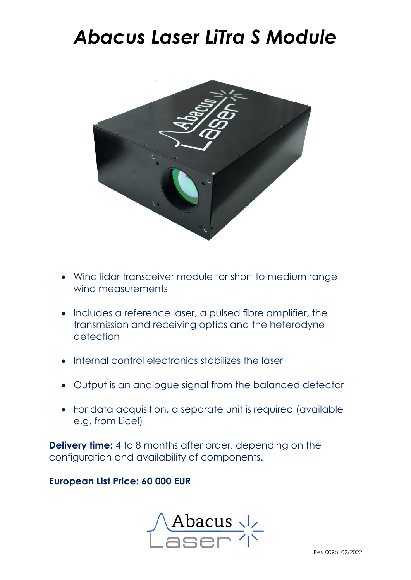## *Abacus Laser LiTra S Module*



- Wind lidar transceiver module for short to medium range wind measurements
- Includes a reference laser, a pulsed fibre amplifier, the transmission and receiving optics and the heterodyne detection
- Internal control electronics stabilizes the laser
- Output is an analogue signal from the balanced detector
- For data acquisition, a separate unit is required (available e.g. from Licel)

**Delivery time:** 4 to 8 months after order, depending on the configuration and availability of components.

#### **European List Price: 60 000 EUR**